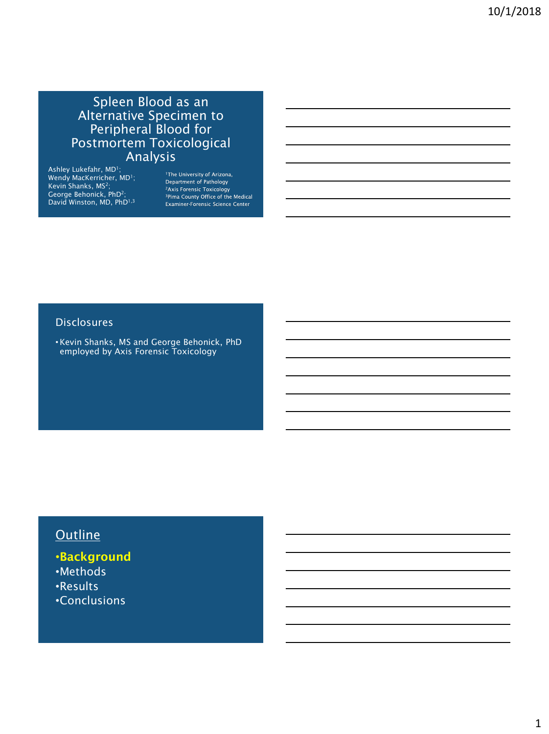## Spleen Blood as an Alternative Specimen to Peripheral Blood for Postmortem Toxicological Analysis

Ashley Lukefahr, MD<sup>1</sup>;<br>Wendy MacKerricher, MD<sup>1</sup>;<br>Kevin Shanks, MS<sup>2</sup>; George Behonick, PhD<sup>2</sup>; David Winston, MD, PhD<sup>1,3</sup>

<sup>1</sup>The University of Arizona, Department of Pathology <sup>2</sup>Axis Forensic Toxicology <sup>3</sup>Pima County Office of the Medical<br>Examiner-Forensic Science Center

#### **Disclosures**

•Kevin Shanks, MS and George Behonick, PhD employed by Axis Forensic Toxicology

# **Outline**

•Background •Methods •Results •Conclusions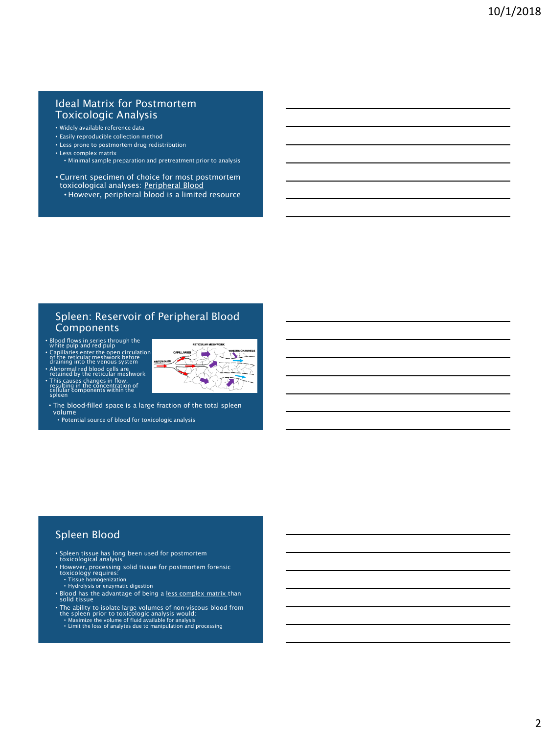#### Ideal Matrix for Postmortem Toxicologic Analysis

- Widely available reference data
- Easily reproducible collection method
- Less prone to postmortem drug redistribution • Less complex matrix
- Minimal sample preparation and pretreatment prior to analysis
- Current specimen of choice for most postmortem toxicological analyses: Peripheral Blood • However, peripheral blood is a limited resource

#### Spleen: Reservoir of Peripheral Blood Components

◥

- Blood flows in series through the white pulp and red pulp
- Capillaries enter the open circulation of the reticular meshwork before draining into the venous system
- Abnormal red blood cells are retained by the reticular meshwork • This causes changes in flow, resulting in the concentration of cellular components within the spleen
- The blood-filled space is a large fraction of the total spleen volume

• Potential source of blood for toxicologic analysis

#### Spleen Blood

- Spleen tissue has long been used for postmortem toxicological analysis
- However, processing solid tissue for postmortem forensic toxicology requires: Tissue homogenization Hydrolysis or enzymatic digestion
- 
- Blood has the advantage of being a <u>less complex matrix t</u>han<br>solid tissue
- The ability to isolate large volumes of non-viscous blood from<br>the spleen prior to toxicologic analysis would:<br>• Maximize the volume of fluid available for analysis<br>• Limit the loss of analytes due to manipulation and pr
-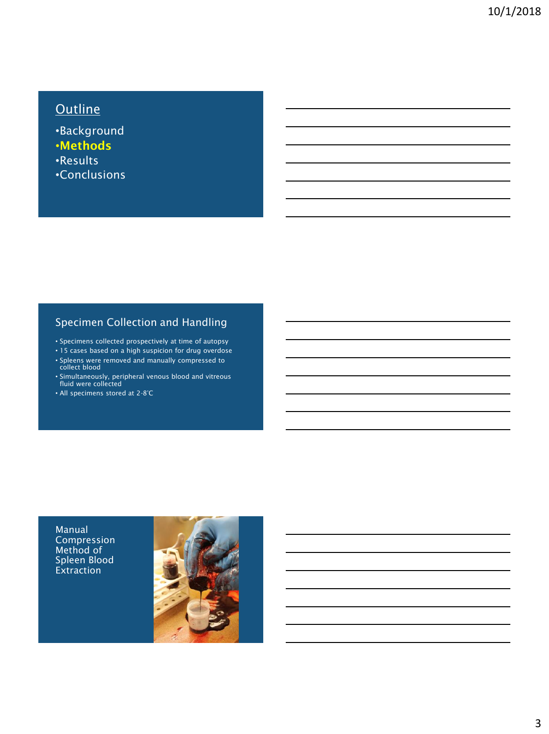# Outline

•Background •Methods •Results •Conclusions

## Specimen Collection and Handling

- Specimens collected prospectively at time of autopsy
- 15 cases based on a high suspicion for drug overdose
- Spleens were removed and manually compressed to collect blood
- Simultaneously, peripheral venous blood and vitreous fluid were collected
- All specimens stored at 2-8°C

Manual Compression Method of Spleen Blood Extraction

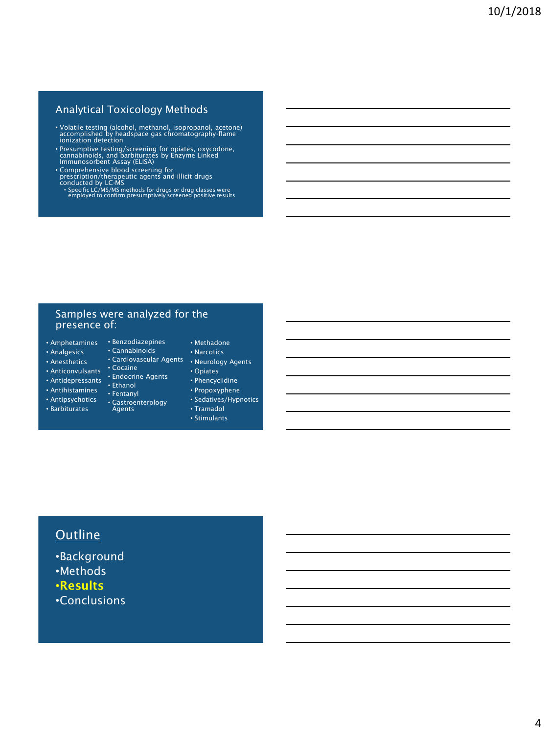## Analytical Toxicology Methods

- Volatile testing (alcohol, methanol, isopropanol, acetone) accomplished by headspace gas chromatography-flame ionization detection
- Presumptive testing/screening for opiates, oxycodone, cannabinoids, and barbiturates by Enzyme Linked Immunosorbent Assay (ELISA)
- Comprehensive blood screening for<br>prescription/therapeutic agents and illicit drugs<br>conducted by LC-MS<br>• Specific LC/MS/MS methods for drugs or drug classes were<br>• employed to confirm presumptively screened positive res
- 

#### Samples were analyzed for the presence of:

- Amphetamines Benzodiazepines
- Analgesics
- Anesthetics
- Anticonvulsants
- Antidepressants
- 
- Antihistamines
- Antipsychotics
- Barbiturates
- 
- Cannabinoids
- Neurology Agents Cardiovascular Agents
- Cocaine
- Endocrine Agents

• Fentanyl • Gastroenterology Agents

- Ethanol
- Phencyclidine

• Opiates

• Methadone • Narcotics

- Propoxyphene • Sedatives/Hypnotics
- Tramadol
- Stimulants

# **Outline**

•Background •Methods •Results •Conclusions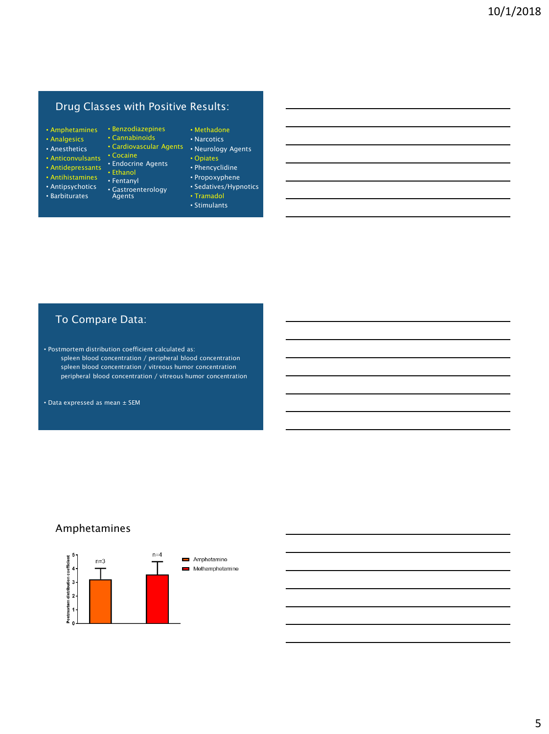## Drug Classes with Positive Results:

- Amphetamines Benzodiazepines
- Analgesics
- Anesthetics
- Anticonvulsants
- Antidepressants
- 
- Antipsychotics
- Barbiturates
- Cannabinoids • Cardiovascular Agents
- Cocaine
- Endocrine Agents
- Ethanol
- Antihistamines Fentanyl
	- Gastroenterology Agents
	-
- Methadone
- Narcotics
- Neurology Agents • Opiates
- Phencyclidine
- Propoxyphene
- Sedatives/Hypnotics
- Tramadol
- Stimulants

## To Compare Data:

• Postmortem distribution coefficient calculated as: spleen blood concentration / peripheral blood concentration spleen blood concentration / vitreous humor concentration peripheral blood concentration / vitreous humor concentration

• Data expressed as mean ± SEM

## Amphetamines

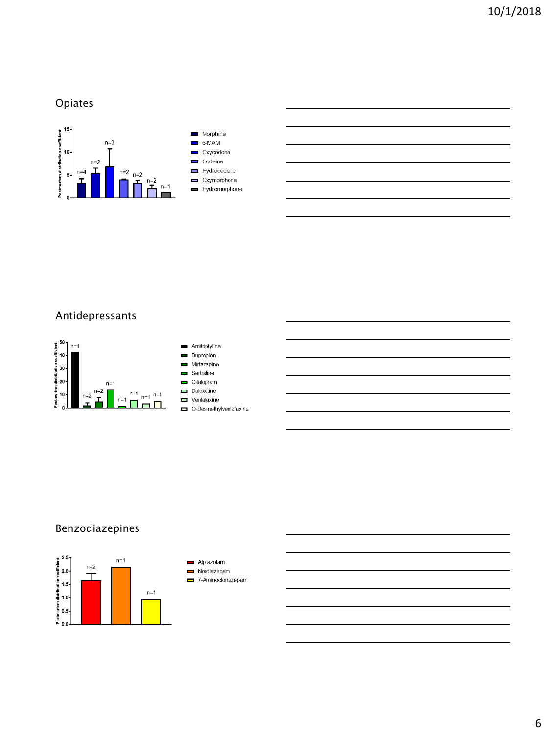# Opiates



# Antidepressants









- 
- O-Desmethylvenlafaxine

# Benzodiazepines



- Alprazolam Nordiazepam
- 7-Aminoclonazepam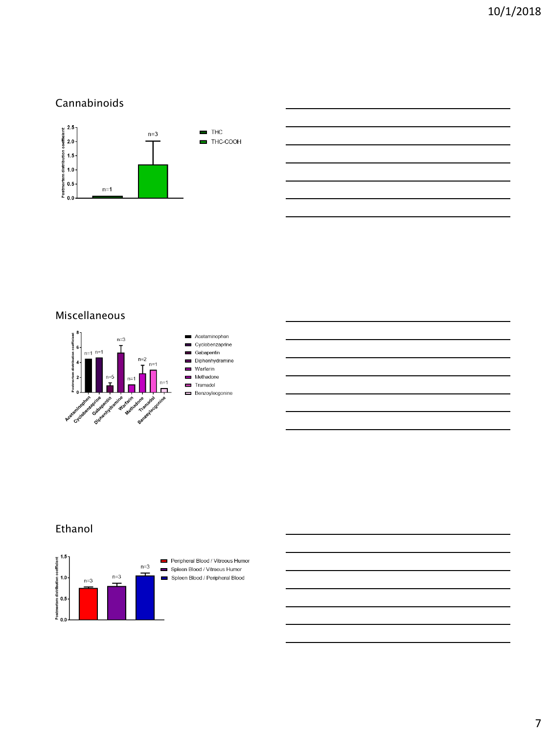## Cannabinoids



## Miscellaneous



## Ethanol



Peripheral Blood / Vitreous Humor Spleen Blood / Vitreous Humor Spleen Blood / Peripheral Blood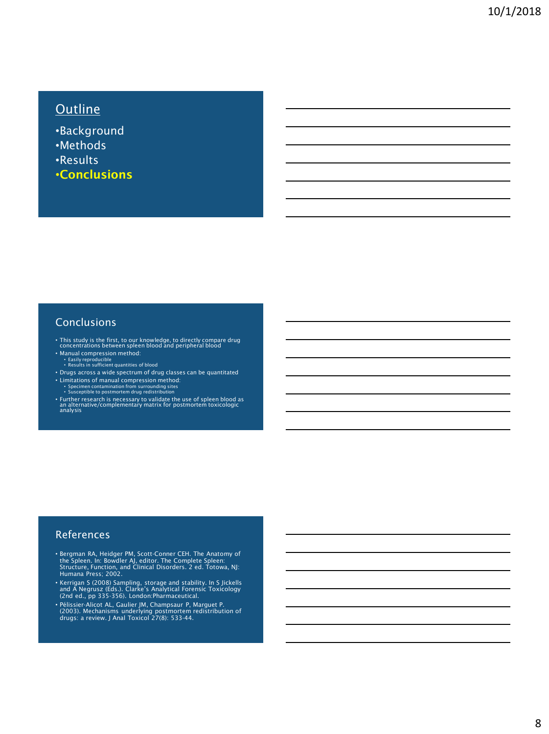# **Outline**

•Background •Methods •Results •Conclusions

### **Conclusions**

- This study is the first, to our knowledge, to directly compare drug concentrations between spleen blood and peripheral blood
- Manual compression method: Easily reproducible Results in sufficient quantities of blood
- Drugs across a wide spectrum of drug classes can be quantitated
- 
- Limitations of manual compression method: Specimen contamination from surrounding sites Susceptible to postmortem drug redistribution
- Further research is necessary to validate the use of spleen blood as an alternative/complementary matrix for postmortem toxicologic analysis

#### References

- Bergman RA, Heidger PM, Scott-Conner CEH. The Anatomy of the Spleen. In: Bowdler AJ, editor. The Complete Spleen: Structure, Function, and Clinical Disorders. 2 ed. Totowa, NJ: Humana Press; 2002.
- Kerrigan S (2008) Sampling, storage and stability. In S Jickells and A Negrusz (Eds.). Clarke's Analytical Forensic Toxicology (2nd ed., pp 335-356). London:Pharmaceutical.
- Pélissier-Alicot AL, Gaulier JM, Champsaur P, Marguet P. (2003). Mechanisms underlying postmortem redistribution of drugs: a review. J Anal Toxicol 27(8): 533-44.